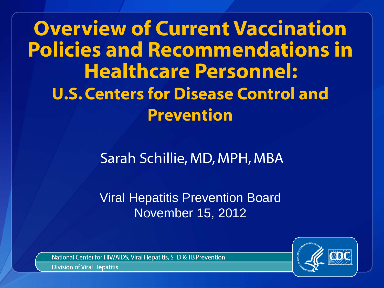**Overview of Current Vaccination Policies and Recommendations in Healthcare Personnel: U.S. Centers for Disease Control and Prevention**

Sarah Schillie, MD, MPH, MBA

Viral Hepatitis Prevention Board November 15, 2012

National Center for HIV/AIDS, Viral Hepatitis, STD & TB Prevention

**Division of Viral Hepatitis**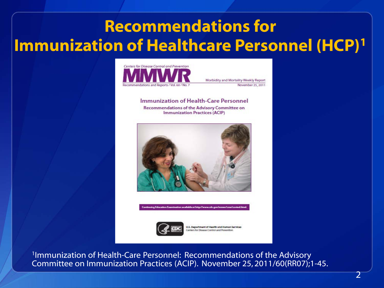# **Recommendations for Immunization of Healthcare Personnel (HCP)1**



Morbidity and Mortality Weekly Report November 25, 2011

Immunization of Health-Care Personnel Recommendations of the Advisory Committee on **Immunization Practices (ACIP)** 





U.S. Department of Health and Human Services anters for Disease Control and Prevention

1Immunization of Health-Care Personnel: Recommendations of the Advisory Committee on Immunization Practices (ACIP). November 25, 2011/60(RR07);1-45.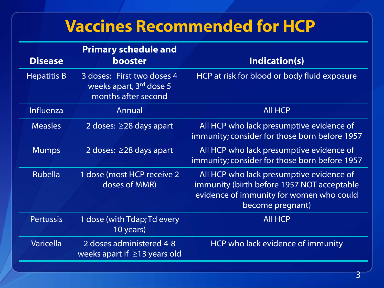## **Vaccines Recommended for HCP**

| <b>Disease</b>     | <b>Primary schedule and</b><br><b>booster</b>                                            | Indication(s)                                                                                                                                          |
|--------------------|------------------------------------------------------------------------------------------|--------------------------------------------------------------------------------------------------------------------------------------------------------|
| <b>Hepatitis B</b> | 3 doses: First two doses 4<br>weeks apart, 3 <sup>rd</sup> dose 5<br>months after second | HCP at risk for blood or body fluid exposure                                                                                                           |
| Influenza          | Annual                                                                                   | <b>All HCP</b>                                                                                                                                         |
| <b>Measles</b>     | 2 doses: $\geq$ 28 days apart                                                            | All HCP who lack presumptive evidence of<br>immunity; consider for those born before 1957                                                              |
| <b>Mumps</b>       | 2 doses: $\geq$ 28 days apart                                                            | All HCP who lack presumptive evidence of<br>immunity; consider for those born before 1957                                                              |
| <b>Rubella</b>     | 1 dose (most HCP receive 2<br>doses of MMR)                                              | All HCP who lack presumptive evidence of<br>immunity (birth before 1957 NOT acceptable<br>evidence of immunity for women who could<br>become pregnant) |
| <b>Pertussis</b>   | 1 dose (with Tdap; Td every<br>10 years)                                                 | <b>All HCP</b>                                                                                                                                         |
| <b>Varicella</b>   | 2 doses administered 4-8<br>weeks apart if $\geq$ 13 years old                           | HCP who lack evidence of immunity                                                                                                                      |
|                    |                                                                                          |                                                                                                                                                        |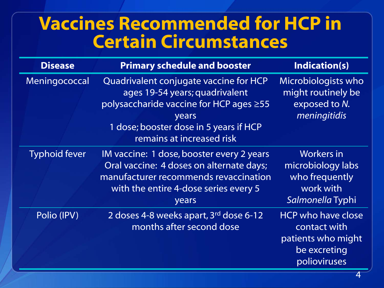## **Vaccines Recommended for HCP in Certain Circumstances**

| <b>Disease</b>       | <b>Primary schedule and booster</b>                                                                                                                                                                 | Indication(s)                                                                                   |
|----------------------|-----------------------------------------------------------------------------------------------------------------------------------------------------------------------------------------------------|-------------------------------------------------------------------------------------------------|
| Meningococcal        | Quadrivalent conjugate vaccine for HCP<br>ages 19-54 years; quadrivalent<br>polysaccharide vaccine for HCP ages ≥55<br>years<br>1 dose; booster dose in 5 years if HCP<br>remains at increased risk | Microbiologists who<br>might routinely be<br>exposed to N.<br>meningitidis                      |
| <b>Typhoid fever</b> | IM vaccine: 1 dose, booster every 2 years<br>Oral vaccine: 4 doses on alternate days;<br>manufacturer recommends revaccination<br>with the entire 4-dose series every 5<br>years                    | <b>Workers</b> in<br>microbiology labs<br>who frequently<br>work with<br>Salmonella Typhi       |
| Polio (IPV)          | 2 doses 4-8 weeks apart, 3 <sup>rd</sup> dose 6-12<br>months after second dose                                                                                                                      | <b>HCP who have close</b><br>contact with<br>patients who might<br>be excreting<br>polioviruses |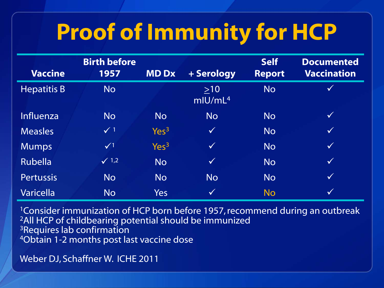# **Proof of Immunity for HCP**

| <b>Vaccine</b>     | <b>Birth before</b><br>1957 | <b>MDDx</b>      | + Serology                   | <b>Self</b><br><b>Report</b> | <b>Documented</b><br><b>Vaccination</b> |
|--------------------|-----------------------------|------------------|------------------------------|------------------------------|-----------------------------------------|
| <b>Hepatitis B</b> | <b>No</b>                   |                  | $>10$<br>mIU/mL <sup>4</sup> | <b>No</b>                    | $\checkmark$                            |
| Influenza          | <b>No</b>                   | <b>No</b>        | <b>No</b>                    | <b>No</b>                    | $\checkmark$                            |
| <b>Measles</b>     | $\checkmark$ 1              | Yes <sup>3</sup> | $\checkmark$                 | <b>No</b>                    | $\checkmark$                            |
| <b>Mumps</b>       | $\sqrt{1}$                  | Yes <sup>3</sup> | $\checkmark$                 | <b>No</b>                    | $\checkmark$                            |
| <b>Rubella</b>     | $\sqrt{1,2}$                | <b>No</b>        | $\checkmark$                 | <b>No</b>                    | $\sqrt{}$                               |
| <b>Pertussis</b>   | <b>No</b>                   | <b>No</b>        | <b>No</b>                    | <b>No</b>                    | $\sqrt{}$                               |
| <b>Varicella</b>   | <b>No</b>                   | <b>Yes</b>       | $\checkmark$                 | <b>No</b>                    | $\checkmark$                            |

<sup>1</sup> Consider immunization of HCP born before 1957, recommend during an outbreak 2All HCP of childbearing potential should be immunized 3Requires lab confirmation 4Obtain 1-2 months post last vaccine dose

Weber DJ, Schaffner W. ICHE 2011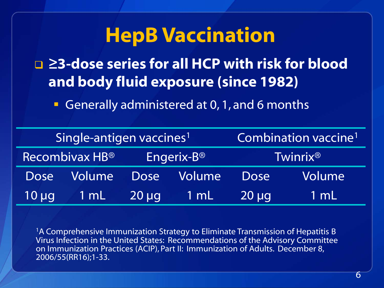# **HepB Vaccination**

 **≥3-dose series for all HCP with risk for blood and body fluid exposure (since 1982)**

Generally administered at 0, 1, and 6 months

| Single-antigen vaccines <sup>1</sup> |                |                        |        |                      | Combination vaccine <sup>1</sup> |
|--------------------------------------|----------------|------------------------|--------|----------------------|----------------------------------|
| Recombivax HB®                       |                | Engerix-B <sup>®</sup> |        | Twinrix <sup>®</sup> |                                  |
| <b>Dose</b>                          | Volume         | <b>Dose</b>            | Volume | <b>Dose</b>          | Volume                           |
| $10 \mu q$                           | $1 \text{ mL}$ | $20 \mu q$             | 1 mL   | $20 \mu g$           | <b>TmL</b>                       |

<sup>1</sup>A Comprehensive Immunization Strategy to Eliminate Transmission of Hepatitis B Virus Infection in the United States: Recommendations of the Advisory Committee on Immunization Practices (ACIP), Part II: Immunization of Adults. December 8, 2006/55(RR16);1-33.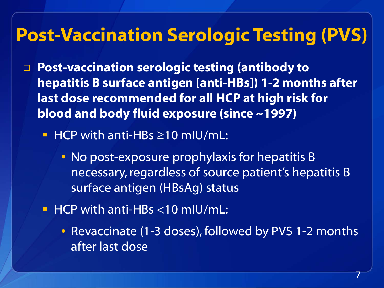# **Post-Vaccination Serologic Testing (PVS)**

- **Post-vaccination serologic testing (antibody to hepatitis B surface antigen [anti-HBs]) 1-2 months after last dose recommended for all HCP at high risk for blood and body fluid exposure (since ~1997)**
	- HCP with anti-HBs ≥10 mIU/mL:
		- No post-exposure prophylaxis for hepatitis B necessary, regardless of source patient's hepatitis B surface antigen (HBsAg) status
	- **HCP with anti-HBs <10 mIU/mL:** 
		- Revaccinate (1-3 doses), followed by PVS 1-2 months after last dose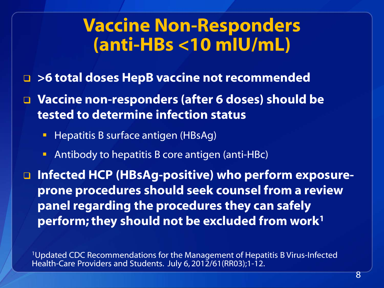## **Vaccine Non-Responders (anti-HBs <10 mIU/mL)**

- **>6 total doses HepB vaccine not recommended**
- **Vaccine non-responders (after 6 doses) should be tested to determine infection status**
	- **Hepatitis B surface antigen (HBsAg)**
	- **Antibody to hepatitis B core antigen (anti-HBc)**

 **Infected HCP (HBsAg-positive) who perform exposureprone procedures should seek counsel from a review panel regarding the procedures they can safely perform; they should not be excluded from work1**

1Updated CDC Recommendations for the Management of Hepatitis B Virus-Infected Health-Care Providers and Students. July 6, 2012/61(RR03);1-12.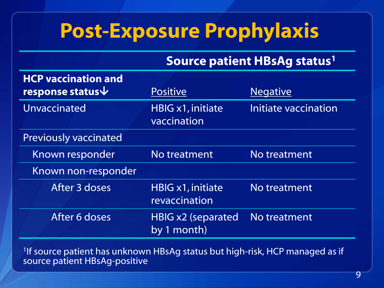# **Post-Exposure Prophylaxis**

## **Source patient HBsAg status1**

| <b>HCP vaccination and</b><br>response status $\overline{\mathbf{v}}$ | <b>Positive</b>                           | <b>Negative</b>      |
|-----------------------------------------------------------------------|-------------------------------------------|----------------------|
| Unvaccinated                                                          | HBIG x1, initiate<br>vaccination          | Initiate vaccination |
| <b>Previously vaccinated</b>                                          |                                           |                      |
| Known responder                                                       | No treatment                              | No treatment         |
| Known non-responder                                                   |                                           |                      |
| After 3 doses                                                         | <b>HBIG x1, initiate</b><br>revaccination | No treatment         |
| After 6 doses                                                         | <b>HBIG x2 (separated</b><br>by 1 month)  | No treatment         |

<sup>1</sup>If source patient has unknown HBsAg status but high-risk, HCP managed as if source patient HBsAg-positive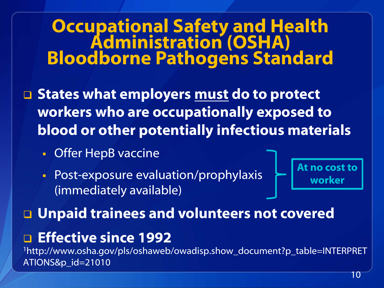# **Occupational Safety and Health<br>Administration (OSHA) Bloodborne Pathogens Standard**

 **States what employers must do to protect workers who are occupationally exposed to blood or other potentially infectious materials**

- **Offer HepB vaccine**
- **Post-exposure evaluation/prophylaxis** (immediately available)

**At no cost to worker**

**Unpaid trainees and volunteers not covered**

**Effective since 1992**

1http://www.osha.gov/pls/oshaweb/owadisp.show\_document?p\_table=INTERPRET ATIONS&p\_id=21010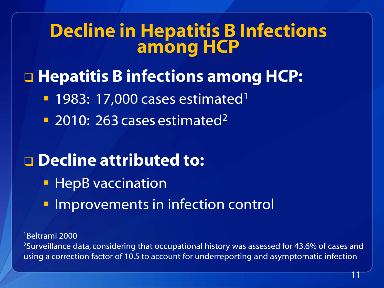# **Decline in Hepatitis B Infections among HCP**

# □ Hepatitis **B** infections among HCP:

- $-1983: 17,000$  cases estimated<sup>1</sup>
- <sup>2</sup> 2010: 263 cases estimated<sup>2</sup>

## **Decline attributed to:**

- **HepB** vaccination
- **Improvements in infection control**

1Beltrami 2000 <sup>2</sup>Surveillance data, considering that occupational history was assessed for 43.6% of cases and using a correction factor of 10.5 to account for underreporting and asymptomatic infection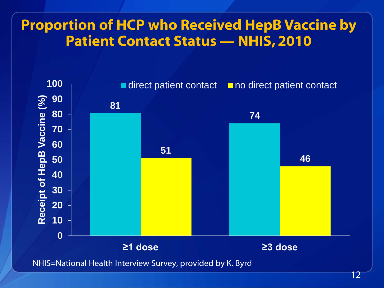## **Proportion of HCP who Received HepB Vaccine by Patient Contact Status — NHIS, 2010**



NHIS=National Health Interview Survey, provided by K. Byrd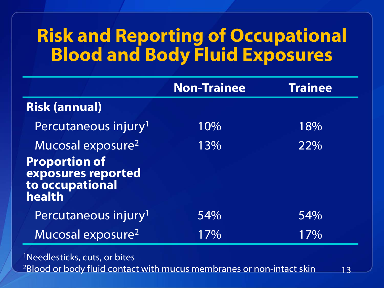# **Risk and Reporting of Occupational Blood and Body Fluid Exposures**

|                                                                                                          | <b>Non-Trainee</b> | <b>Trainee</b> |
|----------------------------------------------------------------------------------------------------------|--------------------|----------------|
| <b>Risk (annual)</b>                                                                                     |                    |                |
| Percutaneous injury <sup>1</sup>                                                                         | 10%                | 18%            |
| Mucosal exposure <sup>2</sup><br><b>Proportion of</b><br>exposures reported<br>to occupational<br>health | 13%                | 22%            |
| Percutaneous injury <sup>1</sup>                                                                         | 54%                | 54%            |
| Mucosal exposure <sup>2</sup>                                                                            | 17%                | 17%            |

13 1Needlesticks, cuts, or bites 2Blood or body fluid contact with mucus membranes or non-intact skin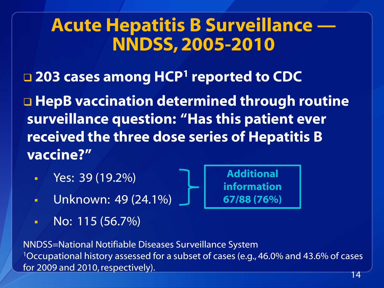# **Acute Hepatitis B Surveillance — NNDSS,2005-2010**

**203 cases among HCP1 reported to CDC**

□ HepB vaccination determined through routine **surveillance question: "Has this patient ever received the three dose series of Hepatitis B vaccine?"**

**Additional** 

**information** 

**67/88 (76%)**

- Yes: 39 (19.2%)
- Unknown: 49 (24.1%)
- $\blacksquare$  No: 115 (56.7%)

NNDSS=National Notifiable Diseases Surveillance System 1Occupational history assessed for a subset of cases (e.g., 46.0% and 43.6% of cases for 2009 and 2010, respectively).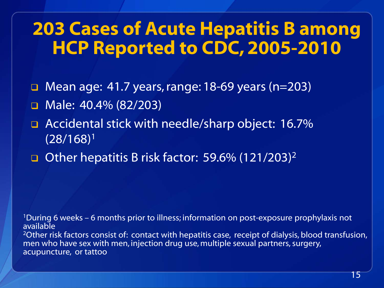# **203 Cases of Acute Hepatitis B among HCP Reported to CDC, 2005-2010**

- □ Mean age: 41.7 years, range: 18-69 years (n=203)
- Male: 40.4% (82/203)
- □ Accidental stick with needle/sharp object: 16.7% (28/168)<sup>1</sup>
- Other hepatitis B risk factor: 59.6%  $(121/203)^2$

1During 6 weeks – 6 months prior to illness; information on post-exposure prophylaxis not available

<sup>2</sup>Other risk factors consist of: contact with hepatitis case, receipt of dialysis, blood transfusion, men who have sex with men, injection drug use, multiple sexual partners, surgery, acupuncture, or tattoo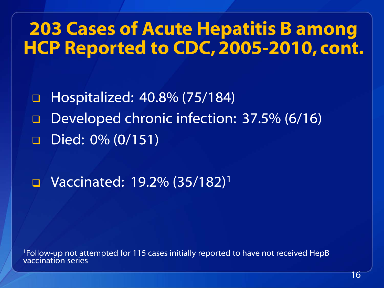# **203 Cases of Acute Hepatitis B among HCP Reported to CDC, 2005-2010, cont.**

 Hospitalized: 40.8% (75/184) Developed chronic infection: 37.5% (6/16) Died: 0% (0/151)

 $\Box$  Vaccinated: 19.2% (35/182)<sup>1</sup>

<sup>1</sup>Follow-up not attempted for 115 cases initially reported to have not received HepB vaccination series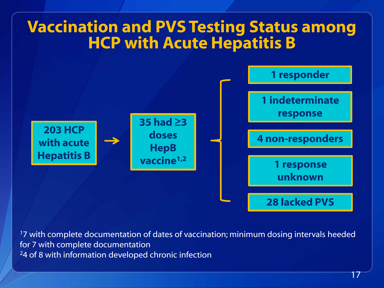## **Vaccination and PVS Testing Status among HCP with Acute Hepatitis B**



<sup>1</sup>7 with complete documentation of dates of vaccination; minimum dosing intervals heeded for 7 with complete documentation <sup>2</sup>4 of 8 with information developed chronic infection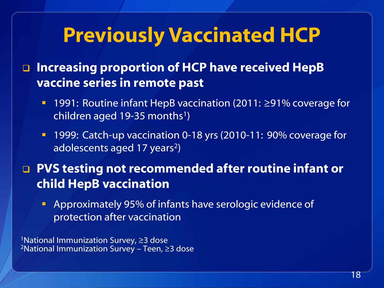# **Previously Vaccinated HCP**

 **Increasing proportion of HCP have received HepB vaccine series in remote past**

- 1991: Routine infant HepB vaccination (2011: ≥91% coverage for children aged 19-35 months<sup>1</sup>)
- 1999: Catch-up vaccination 0-18 yrs (2010-11: 90% coverage for adolescents aged 17 years<sup>2</sup>)

**PVS testing not recommended after routine infant or child HepB vaccination**

**Approximately 95% of infants have serologic evidence of** protection after vaccination

<sup>1</sup>National Immunization Survey, ≥3 dose 2National Immunization Survey – Teen, ≥3 dose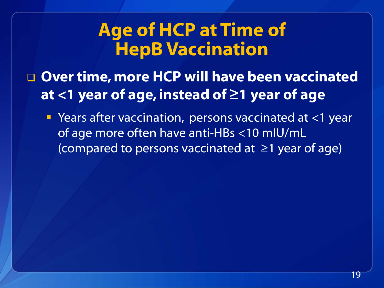# **Age of HCP at Time of HepB Vaccination**

- **Over time, more HCP will have been vaccinated at <1 year of age, instead of ≥1 year of age**
	- Years after vaccination, persons vaccinated at <1 year of age more often have anti-HBs <10 mIU/mL (compared to persons vaccinated at ≥1 year of age)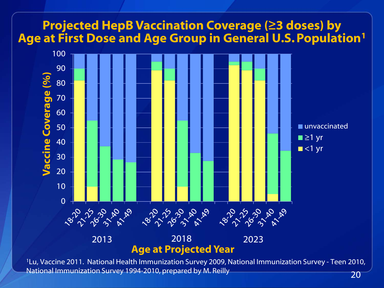

1Lu, Vaccine 2011. National Health Immunization Survey 2009, National Immunization Survey - Teen 2010, National Immunization Survey 1994-2010, prepared by M. Reilly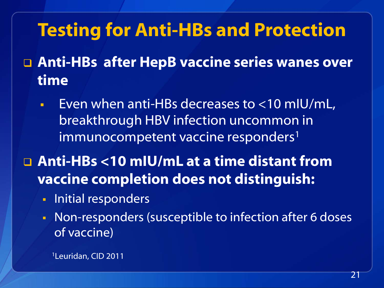# **Testing for Anti-HBs and Protection**

- **Anti-HBs after HepB vaccine series wanes over time**
	- Even when anti-HBs decreases to <10 mIU/mL, breakthrough HBV infection uncommon in immunocompetent vaccine responders<sup>1</sup>
- **Anti-HBs <10 mIU/mL at a time distant from vaccine completion does not distinguish:**
	- **Initial responders**
	- Non-responders (susceptible to infection after 6 doses of vaccine)

1Leuridan, CID 2011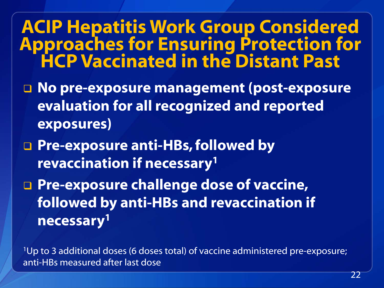# **ACIP Hepatitis Work Group Considered Approaches for Ensuring Protection for HCP Vaccinated in the Distant Past**

- **No pre-exposure management (post-exposure evaluation for all recognized and reported exposures)**
- **Pre-exposure anti-HBs, followed by revaccination if necessary1**
- **Pre-exposure challenge dose of vaccine, followed by anti-HBs and revaccination if necessary1**

1Up to 3 additional doses (6 doses total) of vaccine administered pre-exposure; anti-HBs measured after last dose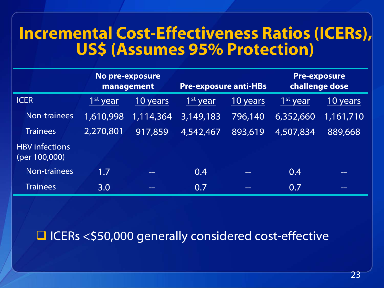## **Incremental Cost-Effectiveness Ratios (ICERs), US\$ (Assumes 95% Protection)**

|                                        | No pre-exposure<br>management |           | <b>Pre-exposure anti-HBs</b> |          | <b>Pre-exposure</b><br>challenge dose |           |
|----------------------------------------|-------------------------------|-----------|------------------------------|----------|---------------------------------------|-----------|
| <b>ICER</b>                            | 1 <sup>st</sup> year          | 10 years  | 1 <sup>st</sup> year         | 10 years | 1 <sup>st</sup> year                  | 10 years  |
| Non-trainees                           | 1,610,998                     | 1,114,364 | 3,149,183                    | 796,140  | 6,352,660                             | 1,161,710 |
| <b>Trainees</b>                        | 2,270,801                     | 917,859   | 4,542,467                    | 893,619  | 4,507,834                             | 889,668   |
| <b>HBV</b> infections<br>(per 100,000) |                               |           |                              |          |                                       |           |
| <b>Non-trainees</b>                    | 1.7                           | $- -$     | 0.4                          | --       | 0.4                                   | --        |
| <b>Trainees</b>                        | 3.0                           | --        | 0.7                          | --       | 0.7                                   | --        |

## □ ICERs <\$50,000 generally considered cost-effective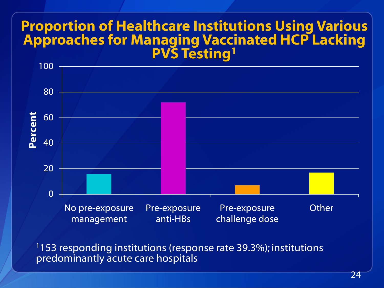## **Proportion of Healthcare Institutions Using Various Approaches for Managing Vaccinated HCP Lacking PVS Testing1**



1153 responding institutions (response rate 39.3%); institutions predominantly acute care hospitals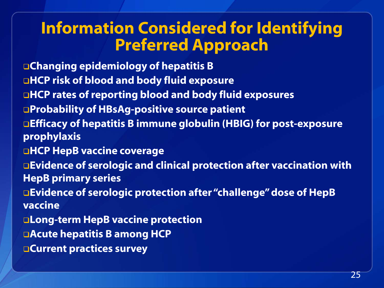## **Information Considered for Identifying Preferred Approach**

**Changing epidemiology of hepatitis B HCP risk of blood and body fluid exposure HCP rates of reporting blood and body fluid exposures Probability of HBsAg-positive source patient Efficacy of hepatitis B immune globulin (HBIG) for post-exposure prophylaxis HCP HepB vaccine coverage Evidence of serologic and clinical protection after vaccination with HepB primary series Evidence of serologic protection after "challenge" dose of HepB vaccine Long-term HepB vaccine protection Acute hepatitis B among HCP**

**Current practices survey**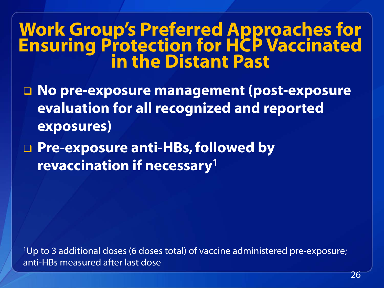# **Work Group's Preferred Approaches for Ensuring Protection for HCP Vaccinated in the Distant Past**

- **No pre-exposure management (post-exposure evaluation for all recognized and reported exposures)**
- **Pre-exposure anti-HBs, followed by revaccination if necessary1**

1Up to 3 additional doses (6 doses total) of vaccine administered pre-exposure; anti-HBs measured after last dose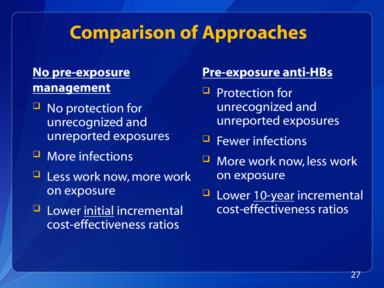## **Comparison of Approaches**

## **No pre-exposure management**

- No protection for unrecognized and unreported exposures
- **U** More infections
- $\Box$  Less work now, more work on exposure
- **Lower initial incremental** cost-effectiveness ratios

### **Pre-exposure anti-HBs**

- $\Box$  Protection for unrecognized and unreported exposures
- $\blacksquare$  Fewer infections
- **U** More work now, less work on exposure
- **Lower 10-year incremental** cost-effectiveness ratios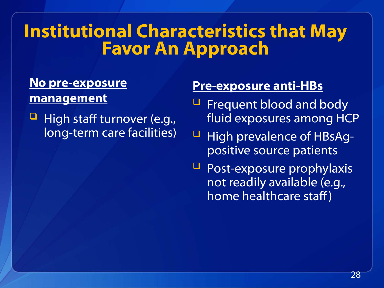# **Institutional Characteristics that May Favor An Approach**

### **No pre-exposure management**

 $\Box$  High staff turnover (e.g., long-term care facilities)

## **Pre-exposure anti-HBs**

- Frequent blood and body fluid exposures among HCP
- **High prevalence of HBsAg**positive source patients
- Post-exposure prophylaxis not readily available (e.g., home healthcare staff )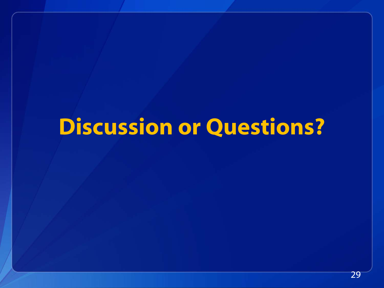# **Discussion or Questions?**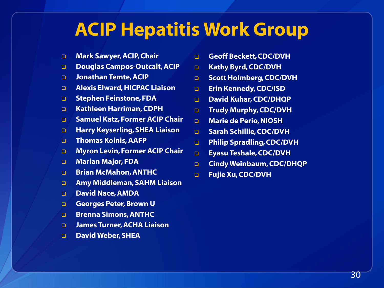# **ACIP Hepatitis Work Group**

- **Mark Sawyer, ACIP, Chair**
- **Douglas Campos-Outcalt, ACIP**
- **Jonathan Temte, ACIP**
- **Alexis Elward, HICPAC Liaison**
- **Stephen Feinstone, FDA**
- **Kathleen Harriman, CDPH**
- **Samuel Katz, Former ACIP Chair**
- **Harry Keyserling, SHEA Liaison**
- **Thomas Koinis, AAFP**
- **Myron Levin, Former ACIP Chair**
- **Marian Major, FDA**
- **Brian McMahon, ANTHC**
- **Amy Middleman, SAHM Liaison**
- **David Nace, AMDA**
- **Georges Peter, Brown U**
- **Brenna Simons, ANTHC**
- **James Turner, ACHA Liaison**
- **David Weber, SHEA**
- **Geoff Beckett, CDC/DVH**
- **Kathy Byrd, CDC/DVH**
- **B** Scott Holmberg, CDC/DVH
- **Erin Kennedy, CDC/ISD**
- **David Kuhar, CDC/DHQP**
- **Trudy Murphy, CDC/DVH**
- **Marie de Perio, NIOSH**
- **Sarah Schillie, CDC/DVH**
- **Philip Spradling, CDC/DVH**
- **Eyasu Teshale, CDC/DVH**
- **Cindy Weinbaum, CDC/DHQP**
- **Fujie Xu, CDC/DVH**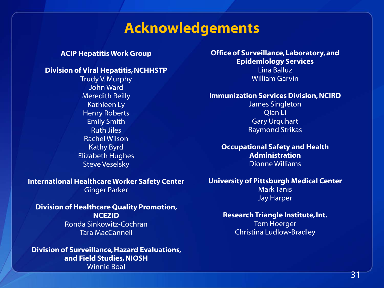## **Acknowledgements**

#### **ACIP Hepatitis Work Group**

### **Division of Viral Hepatitis, NCHHSTP**

Trudy V. Murphy John Ward Meredith Reilly Kathleen Ly Henry Roberts Emily Smith Ruth Jiles Rachel Wilson Kathy Byrd Elizabeth Hughes Steve Veselsky

#### **International Healthcare Worker Safety Center** Ginger Parker

**Division of Healthcare Quality Promotion, NCEZID** Ronda Sinkowitz-Cochran Tara MacCannell

**Division of Surveillance, Hazard Evaluations, and Field Studies, NIOSH** Winnie Boal

**Office of Surveillance, Laboratory, and Epidemiology Services**

Lina Balluz William Garvin

#### **Immunization Services Division, NCIRD**

James Singleton Qian Li Gary Urquhart Raymond Strikas

**Occupational Safety and Health Administration** Dionne Williams

### **University of Pittsburgh Medical Center**

Mark Tanis Jay Harper

### **Research Triangle Institute, Int.**

Tom Hoerger Christina Ludlow-Bradley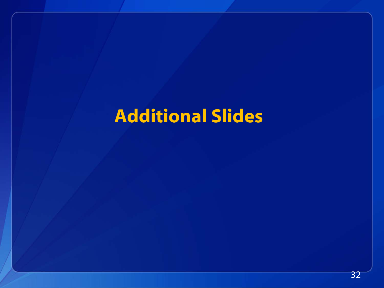# **Additional Slides**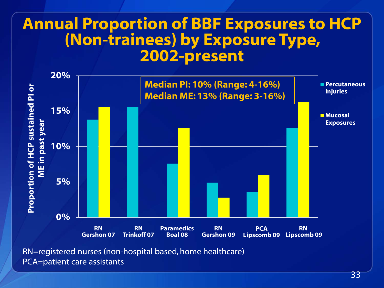## **Annual Proportion of BBF Exposures to HCP (Non-trainees) by Exposure Type, 2002-present**



RN=registered nurses (non-hospital based, home healthcare) PCA=patient care assistants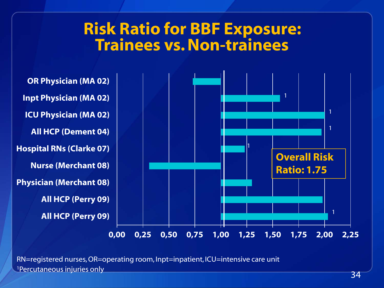## **Risk Ratio for BBF Exposure: Trainees vs. Non-trainees**



1Percutaneous injuries only <sup>34</sup> RN=registered nurses, OR=operating room, Inpt=inpatient, ICU=intensive care unit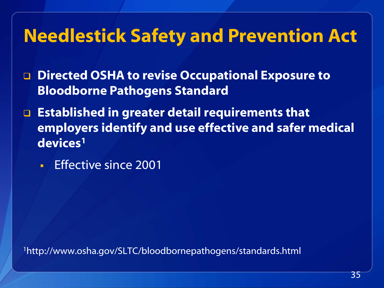# **Needlestick Safety and Prevention Act**

- **Directed OSHA to revise Occupational Exposure to Bloodborne Pathogens Standard**
- **Established in greater detail requirements that employers identify and use effective and safer medical devices1** 
	- **Effective since 2001**

1http://www.osha.gov/SLTC/bloodbornepathogens/standards.html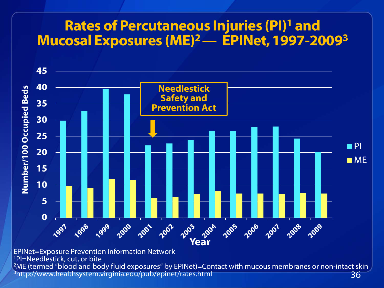## **Rates of Percutaneous Injuries (PI)1 and Mucosal Exposures (ME)2 — EPINet, 1997-20093**



36 EPINet=Exposure Prevention Information Network 1PI=Needlestick, cut, or bite <sup>2</sup>ME (termed "blood and body fluid exposures" by EPINet)=Contact with mucous membranes or non-intact skin 3http://www.healthsystem.virginia.edu/pub/epinet/rates.html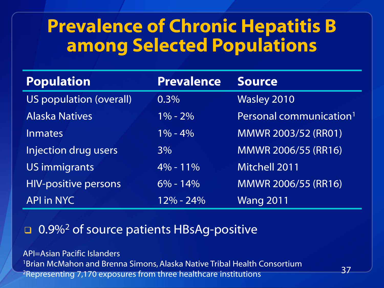# **Prevalence of Chronic Hepatitis B among Selected Populations**

| <b>Population</b>           | <b>Prevalence</b> | <b>Source</b>                       |
|-----------------------------|-------------------|-------------------------------------|
| US population (overall)     | $0.3\%$           | <b>Wasley 2010</b>                  |
| <b>Alaska Natives</b>       | $1\% - 2\%$       | Personal communication <sup>1</sup> |
| Inmates                     | $1\% - 4\%$       | <b>MMWR 2003/52 (RR01)</b>          |
| Injection drug users        | $3\%$             | MMWR 2006/55 (RR16)                 |
| <b>US immigrants</b>        | $4\% - 11\%$      | <b>Mitchell 2011</b>                |
| <b>HIV-positive persons</b> | $6\% - 14\%$      | MMWR 2006/55 (RR16)                 |
| <b>API in NYC</b>           | $12\% - 24\%$     | <b>Wang 2011</b>                    |

## **D.9%<sup>2</sup> of source patients HBsAg-positive**

API=Asian Pacific Islanders 1Brian McMahon and Brenna Simons, Alaska Native Tribal Health Consortium 2Representing 7,170 exposures from three healthcare institutions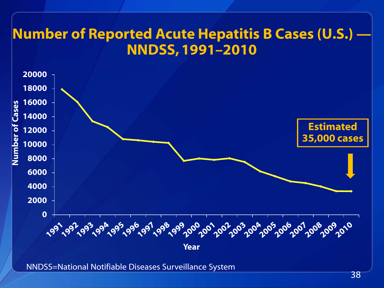## **Number of Reported Acute Hepatitis B Cases (U.S.) — NNDSS, 1991–2010**



NNDSS=National Notifiable Diseases Surveillance System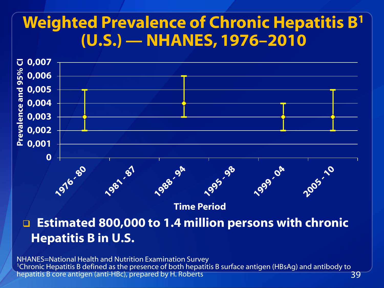## **Weighted Prevalence of Chronic Hepatitis B1 (U.S.) — NHANES, 1976–2010**



**Time Period**

 **Estimated 800,000 to 1.4 million persons with chronic Hepatitis B in U.S.**

39 NHANES=National Health and Nutrition Examination Survey <sup>1</sup>Chronic Hepatitis B defined as the presence of both hepatitis B surface antigen (HBsAg) and antibody to hepatitis B core antigen (anti-HBc), prepared by H. Roberts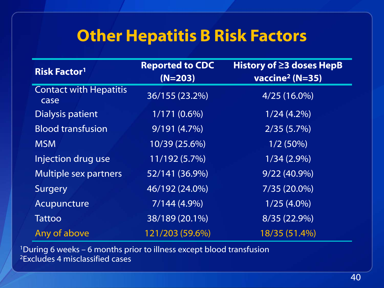## **Other Hepatitis B Risk Factors**

| <b>Risk Factor<sup>1</sup></b>        | <b>Reported to CDC</b><br>$(N=203)$ | History of $\geq$ 3 doses HepB<br>vaccine <sup>2</sup> ( $N=35$ ) |
|---------------------------------------|-------------------------------------|-------------------------------------------------------------------|
| <b>Contact with Hepatitis</b><br>case | 36/155 (23.2%)                      | $4/25(16.0\%)$                                                    |
| <b>Dialysis patient</b>               | $1/171(0.6\%)$                      | $1/24(4.2\%)$                                                     |
| <b>Blood transfusion</b>              | 9/191(4.7%)                         | 2/35(5.7%)                                                        |
| <b>MSM</b>                            | 10/39 (25.6%)                       | 1/2(50%)                                                          |
| Injection drug use                    | 11/192 (5.7%)                       | $1/34(2.9\%)$                                                     |
| <b>Multiple sex partners</b>          | 52/141 (36.9%)                      | $9/22(40.9\%)$                                                    |
| Surgery                               | 46/192 (24.0%)                      | 7/35 (20.0%)                                                      |
| Acupuncture                           | $7/144(4.9\%)$                      | $1/25(4.0\%)$                                                     |
| <b>Tattoo</b>                         | 38/189 (20.1%)                      | 8/35 (22.9%)                                                      |
| Any of above                          | 121/203 (59.6%)                     | 18/35 (51.4%)                                                     |

1During 6 weeks – 6 months prior to illness except blood transfusion 2Excludes 4 misclassified cases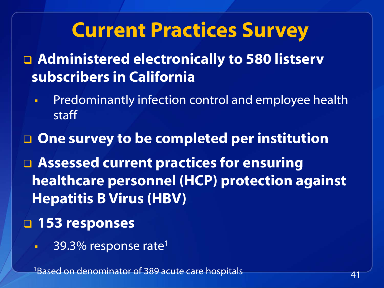# **Current Practices Survey**

□ Administered electronically to 580 listserv **subscribers in California**

 Predominantly infection control and employee health staff

## **One survey to be completed per institution**

 **Assessed current practices for ensuring healthcare personnel (HCP) protection against Hepatitis B Virus (HBV)** 

## **153 responses**

 $-39.3\%$  response rate<sup>1</sup>

1Based on denominator of 389 acute care hospitals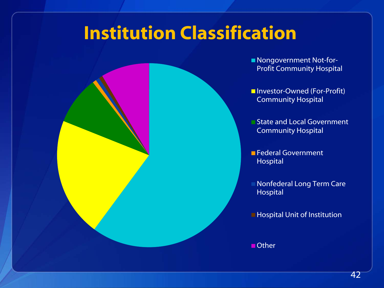# **Institution Classification**



State and Local Government Community Hospital

**Federal Government** Hospital

**Nonfederal Long Term Care** Hospital

**Hospital Unit of Institution** 

■ Other